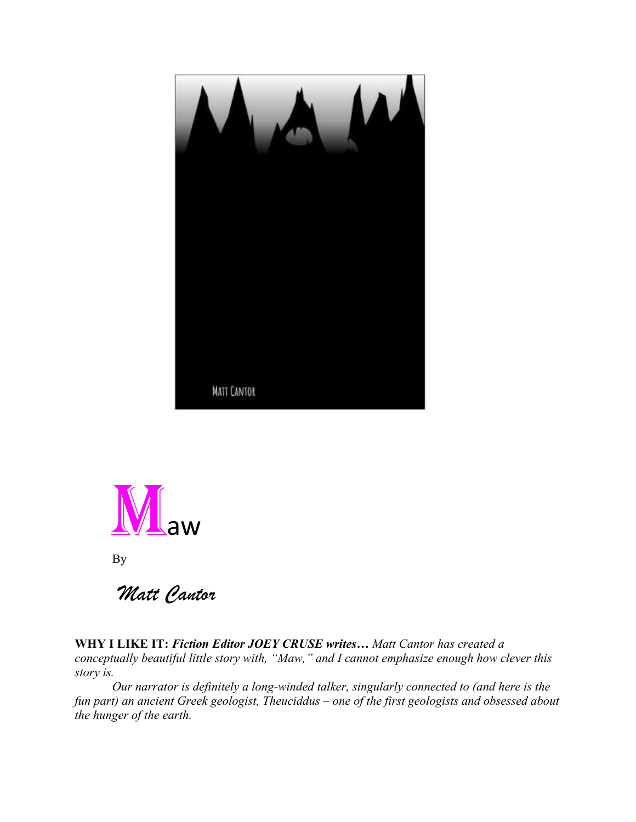



By

*Matt Cantor*

**WHY I LIKE IT:** *Fiction Editor JOEY CRUSE writes… Matt Cantor has created a conceptually beautiful little story with, "Maw," and I cannot emphasize enough how clever this story is.*

*Our narrator is definitely a long-winded talker, singularly connected to (and here is the fun part) an ancient Greek geologist, Theuciddus – one of the first geologists and obsessed about the hunger of the earth.*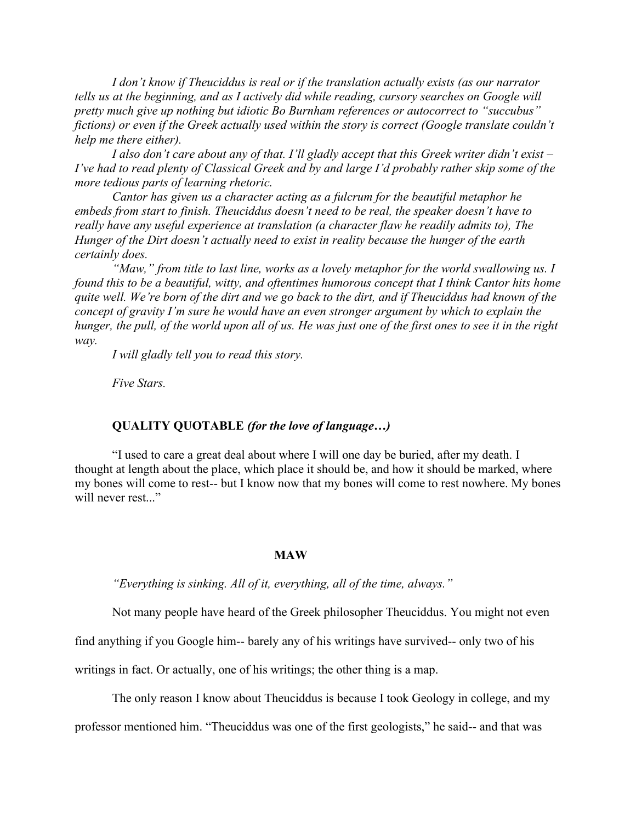*I don't know if Theuciddus is real or if the translation actually exists (as our narrator tells us at the beginning, and as I actively did while reading, cursory searches on Google will pretty much give up nothing but idiotic Bo Burnham references or autocorrect to "succubus" fictions) or even if the Greek actually used within the story is correct (Google translate couldn't help me there either).* 

*I also don't care about any of that. I'll gladly accept that this Greek writer didn't exist – I've had to read plenty of Classical Greek and by and large I'd probably rather skip some of the more tedious parts of learning rhetoric.* 

*Cantor has given us a character acting as a fulcrum for the beautiful metaphor he embeds from start to finish. Theuciddus doesn't need to be real, the speaker doesn't have to really have any useful experience at translation (a character flaw he readily admits to), The Hunger of the Dirt doesn't actually need to exist in reality because the hunger of the earth certainly does.* 

*"Maw," from title to last line, works as a lovely metaphor for the world swallowing us. I found this to be a beautiful, witty, and oftentimes humorous concept that I think Cantor hits home quite well. We're born of the dirt and we go back to the dirt, and if Theuciddus had known of the concept of gravity I'm sure he would have an even stronger argument by which to explain the hunger, the pull, of the world upon all of us. He was just one of the first ones to see it in the right way.* 

*I will gladly tell you to read this story.* 

*Five Stars.* 

## **QUALITY QUOTABLE** *(for the love of language…)*

"I used to care a great deal about where I will one day be buried, after my death. I thought at length about the place, which place it should be, and how it should be marked, where my bones will come to rest-- but I know now that my bones will come to rest nowhere. My bones will never rest..."

## **MAW**

*"Everything is sinking. All of it, everything, all of the time, always."*

Not many people have heard of the Greek philosopher Theuciddus. You might not even

find anything if you Google him-- barely any of his writings have survived-- only two of his

writings in fact. Or actually, one of his writings; the other thing is a map.

The only reason I know about Theuciddus is because I took Geology in college, and my

professor mentioned him. "Theuciddus was one of the first geologists," he said-- and that was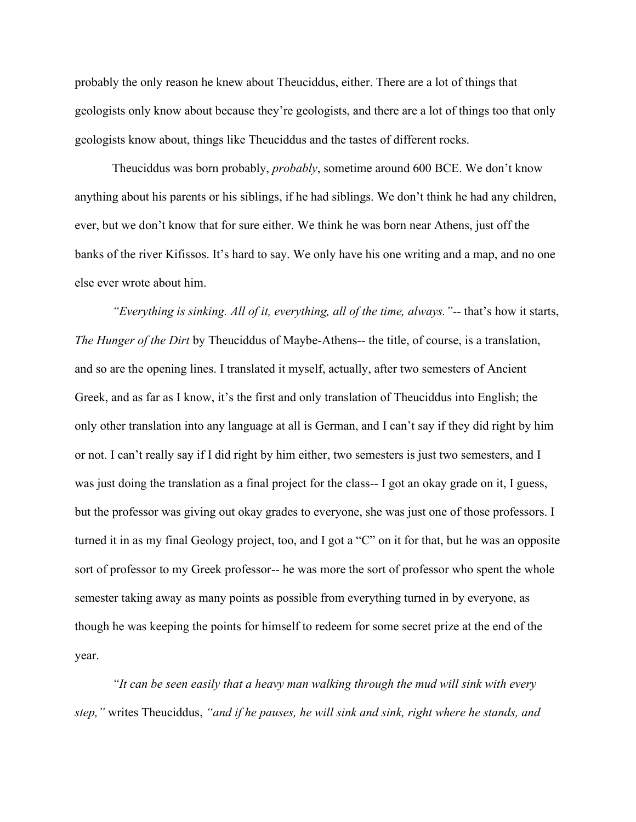probably the only reason he knew about Theuciddus, either. There are a lot of things that geologists only know about because they're geologists, and there are a lot of things too that only geologists know about, things like Theuciddus and the tastes of different rocks.

Theuciddus was born probably, *probably*, sometime around 600 BCE. We don't know anything about his parents or his siblings, if he had siblings. We don't think he had any children, ever, but we don't know that for sure either. We think he was born near Athens, just off the banks of the river Kifissos. It's hard to say. We only have his one writing and a map, and no one else ever wrote about him.

*"Everything is sinking. All of it, everything, all of the time, always."*-- that's how it starts, *The Hunger of the Dirt* by Theuciddus of Maybe-Athens-- the title, of course, is a translation, and so are the opening lines. I translated it myself, actually, after two semesters of Ancient Greek, and as far as I know, it's the first and only translation of Theuciddus into English; the only other translation into any language at all is German, and I can't say if they did right by him or not. I can't really say if I did right by him either, two semesters is just two semesters, and I was just doing the translation as a final project for the class-- I got an okay grade on it, I guess, but the professor was giving out okay grades to everyone, she was just one of those professors. I turned it in as my final Geology project, too, and I got a "C" on it for that, but he was an opposite sort of professor to my Greek professor-- he was more the sort of professor who spent the whole semester taking away as many points as possible from everything turned in by everyone, as though he was keeping the points for himself to redeem for some secret prize at the end of the year.

*"It can be seen easily that a heavy man walking through the mud will sink with every step,"* writes Theuciddus, *"and if he pauses, he will sink and sink, right where he stands, and*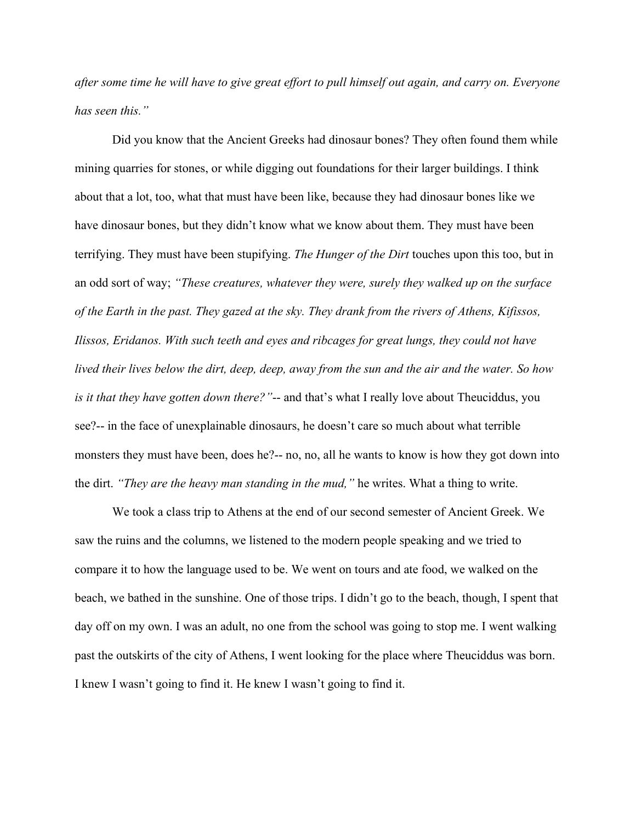*after some time he will have to give great effort to pull himself out again, and carry on. Everyone has seen this."*

Did you know that the Ancient Greeks had dinosaur bones? They often found them while mining quarries for stones, or while digging out foundations for their larger buildings. I think about that a lot, too, what that must have been like, because they had dinosaur bones like we have dinosaur bones, but they didn't know what we know about them. They must have been terrifying. They must have been stupifying. *The Hunger of the Dirt* touches upon this too, but in an odd sort of way; *"These creatures, whatever they were, surely they walked up on the surface of the Earth in the past. They gazed at the sky. They drank from the rivers of Athens, Kifissos, Ilissos, Eridanos. With such teeth and eyes and ribcages for great lungs, they could not have lived their lives below the dirt, deep, deep, away from the sun and the air and the water. So how is it that they have gotten down there?"*-- and that's what I really love about Theuciddus, you see?-- in the face of unexplainable dinosaurs, he doesn't care so much about what terrible monsters they must have been, does he?-- no, no, all he wants to know is how they got down into the dirt. *"They are the heavy man standing in the mud,"* he writes. What a thing to write.

We took a class trip to Athens at the end of our second semester of Ancient Greek. We saw the ruins and the columns, we listened to the modern people speaking and we tried to compare it to how the language used to be. We went on tours and ate food, we walked on the beach, we bathed in the sunshine. One of those trips. I didn't go to the beach, though, I spent that day off on my own. I was an adult, no one from the school was going to stop me. I went walking past the outskirts of the city of Athens, I went looking for the place where Theuciddus was born. I knew I wasn't going to find it. He knew I wasn't going to find it.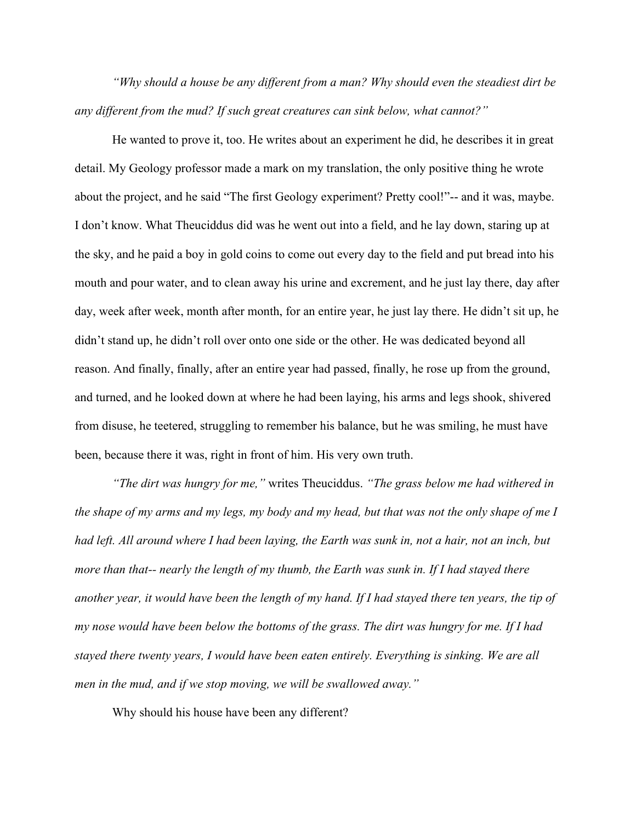*"Why should a house be any different from a man? Why should even the steadiest dirt be any different from the mud? If such great creatures can sink below, what cannot?"* 

He wanted to prove it, too. He writes about an experiment he did, he describes it in great detail. My Geology professor made a mark on my translation, the only positive thing he wrote about the project, and he said "The first Geology experiment? Pretty cool!"-- and it was, maybe. I don't know. What Theuciddus did was he went out into a field, and he lay down, staring up at the sky, and he paid a boy in gold coins to come out every day to the field and put bread into his mouth and pour water, and to clean away his urine and excrement, and he just lay there, day after day, week after week, month after month, for an entire year, he just lay there. He didn't sit up, he didn't stand up, he didn't roll over onto one side or the other. He was dedicated beyond all reason. And finally, finally, after an entire year had passed, finally, he rose up from the ground, and turned, and he looked down at where he had been laying, his arms and legs shook, shivered from disuse, he teetered, struggling to remember his balance, but he was smiling, he must have been, because there it was, right in front of him. His very own truth.

*"The dirt was hungry for me,"* writes Theuciddus. *"The grass below me had withered in the shape of my arms and my legs, my body and my head, but that was not the only shape of me I had left. All around where I had been laying, the Earth was sunk in, not a hair, not an inch, but more than that-- nearly the length of my thumb, the Earth was sunk in. If I had stayed there another year, it would have been the length of my hand. If I had stayed there ten years, the tip of my nose would have been below the bottoms of the grass. The dirt was hungry for me. If I had stayed there twenty years, I would have been eaten entirely. Everything is sinking. We are all men in the mud, and if we stop moving, we will be swallowed away."*

Why should his house have been any different?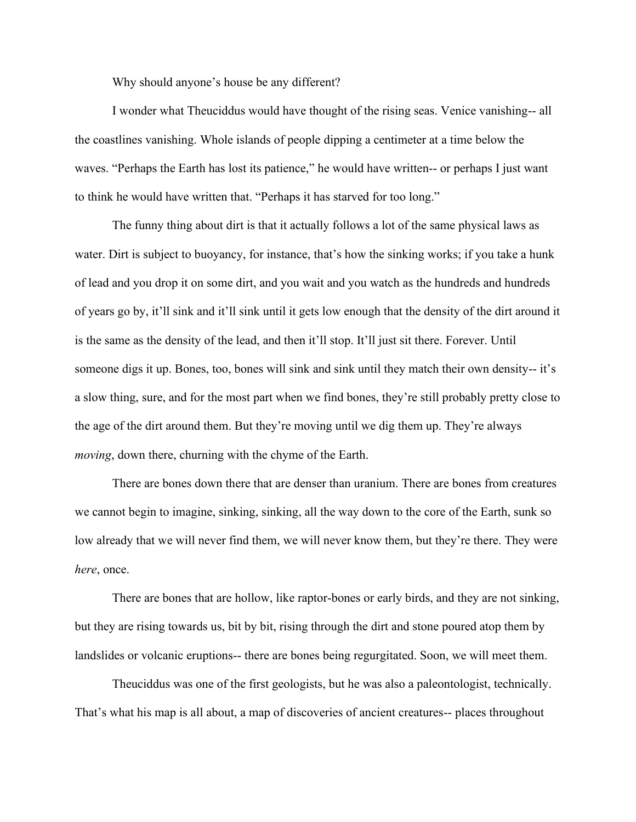Why should anyone's house be any different?

I wonder what Theuciddus would have thought of the rising seas. Venice vanishing-- all the coastlines vanishing. Whole islands of people dipping a centimeter at a time below the waves. "Perhaps the Earth has lost its patience," he would have written-- or perhaps I just want to think he would have written that. "Perhaps it has starved for too long."

The funny thing about dirt is that it actually follows a lot of the same physical laws as water. Dirt is subject to buoyancy, for instance, that's how the sinking works; if you take a hunk of lead and you drop it on some dirt, and you wait and you watch as the hundreds and hundreds of years go by, it'll sink and it'll sink until it gets low enough that the density of the dirt around it is the same as the density of the lead, and then it'll stop. It'll just sit there. Forever. Until someone digs it up. Bones, too, bones will sink and sink until they match their own density-- it's a slow thing, sure, and for the most part when we find bones, they're still probably pretty close to the age of the dirt around them. But they're moving until we dig them up. They're always *moving*, down there, churning with the chyme of the Earth.

There are bones down there that are denser than uranium. There are bones from creatures we cannot begin to imagine, sinking, sinking, all the way down to the core of the Earth, sunk so low already that we will never find them, we will never know them, but they're there. They were *here*, once.

There are bones that are hollow, like raptor-bones or early birds, and they are not sinking, but they are rising towards us, bit by bit, rising through the dirt and stone poured atop them by landslides or volcanic eruptions-- there are bones being regurgitated. Soon, we will meet them.

Theuciddus was one of the first geologists, but he was also a paleontologist, technically. That's what his map is all about, a map of discoveries of ancient creatures-- places throughout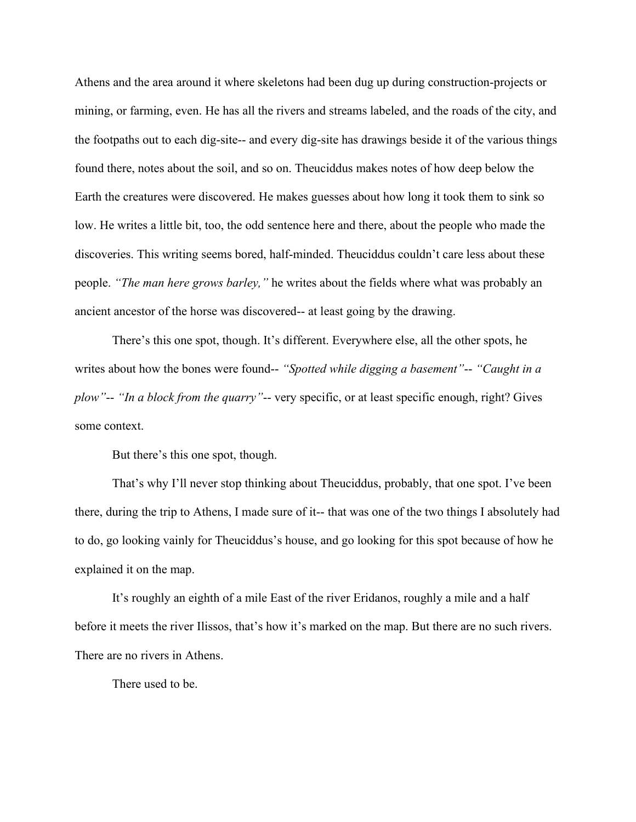Athens and the area around it where skeletons had been dug up during construction-projects or mining, or farming, even. He has all the rivers and streams labeled, and the roads of the city, and the footpaths out to each dig-site-- and every dig-site has drawings beside it of the various things found there, notes about the soil, and so on. Theuciddus makes notes of how deep below the Earth the creatures were discovered. He makes guesses about how long it took them to sink so low. He writes a little bit, too, the odd sentence here and there, about the people who made the discoveries. This writing seems bored, half-minded. Theuciddus couldn't care less about these people. *"The man here grows barley,"* he writes about the fields where what was probably an ancient ancestor of the horse was discovered-- at least going by the drawing.

There's this one spot, though. It's different. Everywhere else, all the other spots, he writes about how the bones were found-- *"Spotted while digging a basement"*-- *"Caught in a plow"*-- *"In a block from the quarry"*-- very specific, or at least specific enough, right? Gives some context.

But there's this one spot, though.

That's why I'll never stop thinking about Theuciddus, probably, that one spot. I've been there, during the trip to Athens, I made sure of it-- that was one of the two things I absolutely had to do, go looking vainly for Theuciddus's house, and go looking for this spot because of how he explained it on the map.

It's roughly an eighth of a mile East of the river Eridanos, roughly a mile and a half before it meets the river Ilissos, that's how it's marked on the map. But there are no such rivers. There are no rivers in Athens.

There used to be.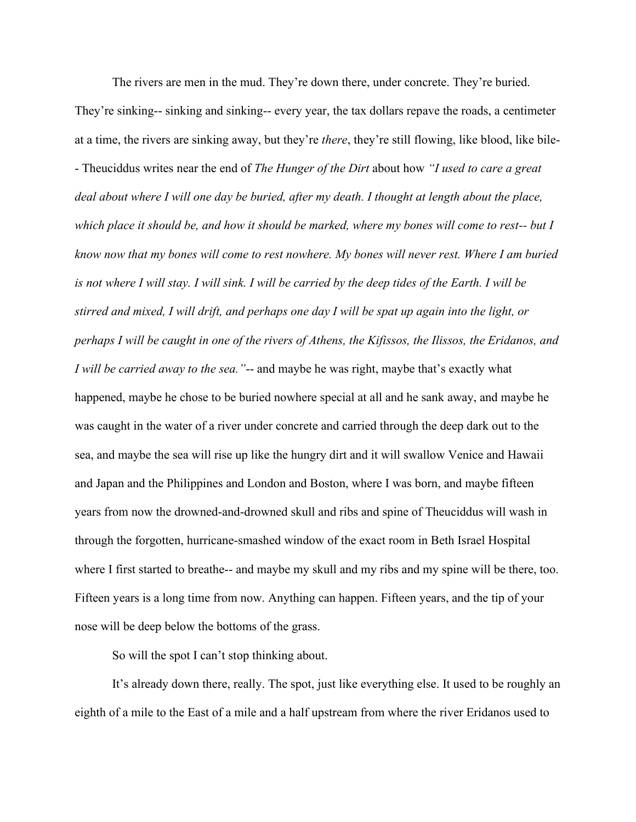The rivers are men in the mud. They're down there, under concrete. They're buried. They're sinking-- sinking and sinking-- every year, the tax dollars repave the roads, a centimeter at a time, the rivers are sinking away, but they're *there*, they're still flowing, like blood, like bile- - Theuciddus writes near the end of *The Hunger of the Dirt* about how *"I used to care a great deal about where I will one day be buried, after my death. I thought at length about the place, which place it should be, and how it should be marked, where my bones will come to rest-- but I know now that my bones will come to rest nowhere. My bones will never rest. Where I am buried is not where I will stay. I will sink. I will be carried by the deep tides of the Earth. I will be stirred and mixed, I will drift, and perhaps one day I will be spat up again into the light, or perhaps I will be caught in one of the rivers of Athens, the Kifissos, the Ilissos, the Eridanos, and I will be carried away to the sea."*-- and maybe he was right, maybe that's exactly what happened, maybe he chose to be buried nowhere special at all and he sank away, and maybe he was caught in the water of a river under concrete and carried through the deep dark out to the sea, and maybe the sea will rise up like the hungry dirt and it will swallow Venice and Hawaii and Japan and the Philippines and London and Boston, where I was born, and maybe fifteen years from now the drowned-and-drowned skull and ribs and spine of Theuciddus will wash in through the forgotten, hurricane-smashed window of the exact room in Beth Israel Hospital where I first started to breathe-- and maybe my skull and my ribs and my spine will be there, too. Fifteen years is a long time from now. Anything can happen. Fifteen years, and the tip of your nose will be deep below the bottoms of the grass.

So will the spot I can't stop thinking about.

It's already down there, really. The spot, just like everything else. It used to be roughly an eighth of a mile to the East of a mile and a half upstream from where the river Eridanos used to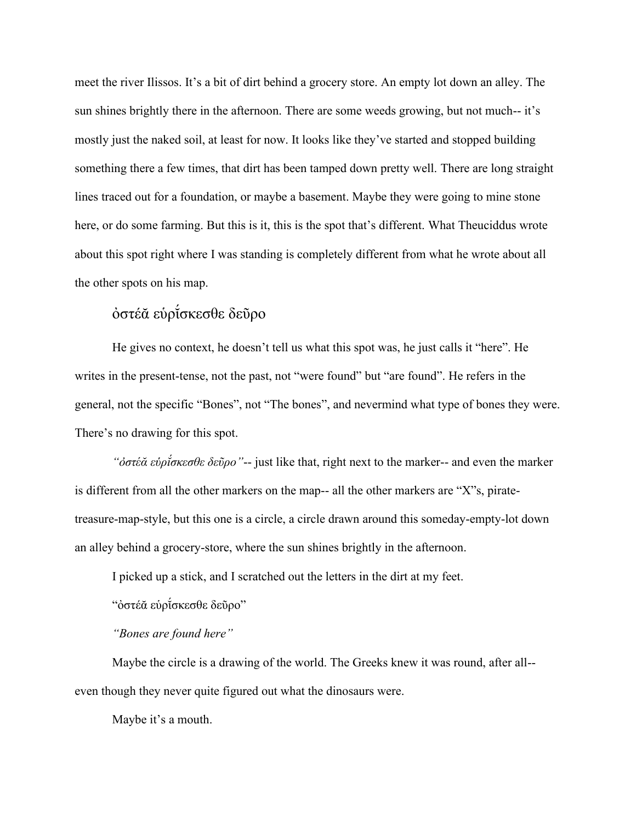meet the river Ilissos. It's a bit of dirt behind a grocery store. An empty lot down an alley. The sun shines brightly there in the afternoon. There are some weeds growing, but not much-- it's mostly just the naked soil, at least for now. It looks like they've started and stopped building something there a few times, that dirt has been tamped down pretty well. There are long straight lines traced out for a foundation, or maybe a basement. Maybe they were going to mine stone here, or do some farming. But this is it, this is the spot that's different. What Theuciddus wrote about this spot right where I was standing is completely different from what he wrote about all the other spots on his map.

## ὀστέᾰ εὑρῐ́σκεσθε δεῦρο

He gives no context, he doesn't tell us what this spot was, he just calls it "here". He writes in the present-tense, not the past, not "were found" but "are found". He refers in the general, not the specific "Bones", not "The bones", and nevermind what type of bones they were. There's no drawing for this spot.

*"ὀστέᾰ εὑρῐ́σκεσθε δεῦρο"*-- just like that, right next to the marker-- and even the marker is different from all the other markers on the map-- all the other markers are "X"s, piratetreasure-map-style, but this one is a circle, a circle drawn around this someday-empty-lot down an alley behind a grocery-store, where the sun shines brightly in the afternoon.

I picked up a stick, and I scratched out the letters in the dirt at my feet.

"ὀστέᾰ εὑρῐ́σκεσθε δεῦρο"

*"Bones are found here"*

Maybe the circle is a drawing of the world. The Greeks knew it was round, after all- even though they never quite figured out what the dinosaurs were.

Maybe it's a mouth.